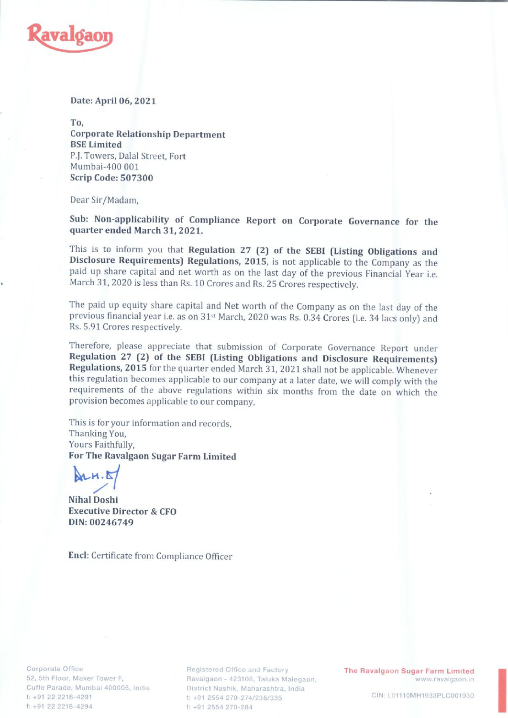

Date: April 06, 2021

To, Corporate Relationship Department BSE Limited P.J. Towers, Dalal Street, Fort Mumbai-400 001 Scrip Code: 507300

Dear Sir/Madam,

Sub: Non-applicability of Compliance Report on Corporate Governance for the quarter ended March 31, 2021.

This is to inform you that Regulation 27 (2) of the SEBI (Listing Obligations and Disclosure Requirements) Regulations, 2015, is not applicable to the Company as the paid up share capital and net worth as on the last day o

The paid up equity share capital and Net worth of the Company as on the last day of the previous financial year i.e. as on 31st March, 2020 was Rs. 0.34 Crores (i.e. 34 lacs only) and Rs. 5.91 Crores respectively.

Therefore, please appreciate that submission of Corporate Governance Report under<br>**Regulation 27 (2) of the SEBI (Listing Obligations and Disclosure Requirements)**<br>**Regulations, 2015** for the quarter ended March 31, 2021 s

This is for your information and records, Thanking You, Yours Faithfully, For The Ravalgaon Sugar Farm Limited

 $M.H.S$ PP

Nihal Doshi Executive Director & CFO DIN: 00246749

Encl: Certificate from Compliance Officer

Cuffe Parade, Mumbai 400005, India District Nashik, Maharashtra, India f: +91 22 2218-4294 f: +91 2554 270-284

Corporate Office **Registered Office and Factory** The Ravalgaon Sugar Farm Limited 52, Sth Floor, Maker Tower F, Ravalgaon - 423108, Taluka Malegaon, www.ravalgaon.in t: +91 22 2218-4291 t: +91 2554 270-274/238/335 CIN: L01110MH1933PLC001930